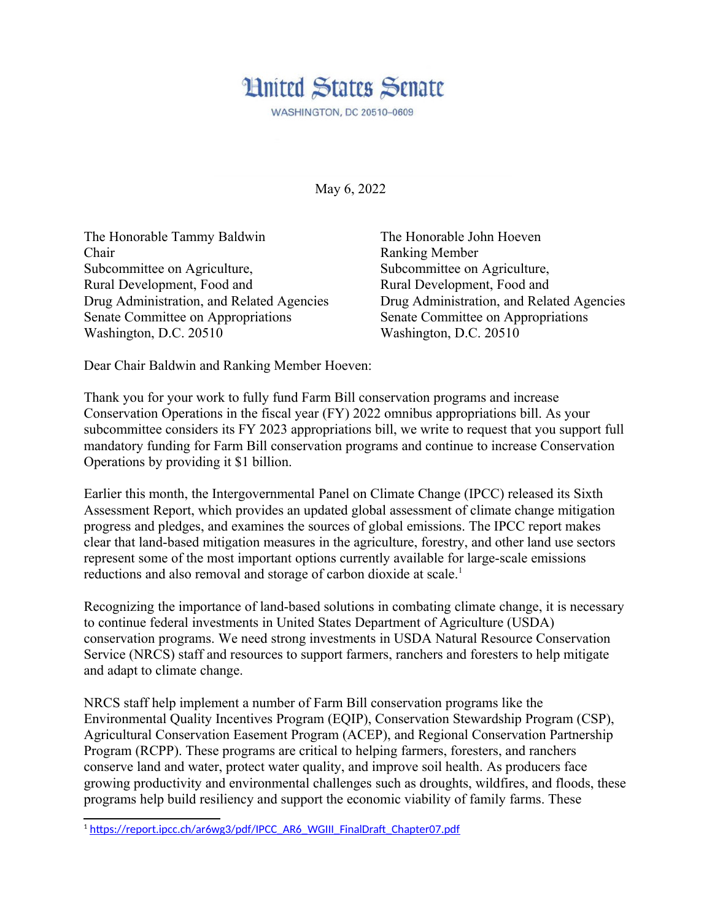

May 6, 2022

The Honorable Tammy Baldwin The Honorable John Hoeven Chair Ranking Member Subcommittee on Agriculture, Subcommittee on Agriculture, Rural Development, Food and Rural Development, Food and Senate Committee on Appropriations Senate Committee on Appropriations Washington, D.C. 20510 Washington, D.C. 20510

Drug Administration, and Related Agencies Drug Administration, and Related Agencies

Dear Chair Baldwin and Ranking Member Hoeven:

Thank you for your work to fully fund Farm Bill conservation programs and increase Conservation Operations in the fiscal year (FY) 2022 omnibus appropriations bill. As your subcommittee considers its FY 2023 appropriations bill, we write to request that you support full mandatory funding for Farm Bill conservation programs and continue to increase Conservation Operations by providing it \$1 billion.

Earlier this month, the Intergovernmental Panel on Climate Change (IPCC) released its Sixth Assessment Report, which provides an updated global assessment of climate change mitigation progress and pledges, and examines the sources of global emissions. The IPCC report makes clear that land-based mitigation measures in the agriculture, forestry, and other land use sectors represent some of the most important options currently available for large-scale emissions reductions and also removal and storage of carbon dioxide at scale.<sup>[1](#page-0-1)</sup>

<span id="page-0-0"></span>Recognizing the importance of land-based solutions in combating climate change, it is necessary to continue federal investments in United States Department of Agriculture (USDA) conservation programs. We need strong investments in USDA Natural Resource Conservation Service (NRCS) staff and resources to support farmers, ranchers and foresters to help mitigate and adapt to climate change.

NRCS staff help implement a number of Farm Bill conservation programs like the Environmental Quality Incentives Program (EQIP), Conservation Stewardship Program (CSP), Agricultural Conservation Easement Program (ACEP), and Regional Conservation Partnership Program (RCPP). These programs are critical to helping farmers, foresters, and ranchers conserve land and water, protect water quality, and improve soil health. As producers face growing productivity and environmental challenges such as droughts, wildfires, and floods, these programs help build resiliency and support the economic viability of family farms. These

<span id="page-0-1"></span><sup>&</sup>lt;sup>[1](#page-0-0)</sup>https://report.jpcc.ch/ar6wg3/pdf/IPCC\_AR6\_WGIII\_FinalDraft\_Chapter07.pdf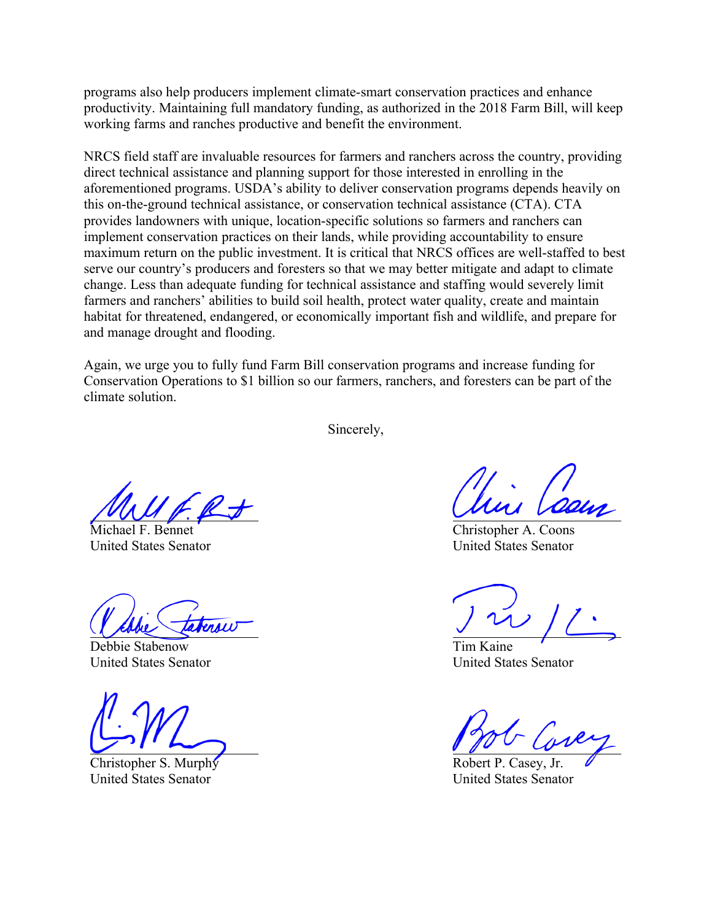programs also help producers implement climate-smart conservation practices and enhance productivity. Maintaining full mandatory funding, as authorized in the 2018 Farm Bill, will keep working farms and ranches productive and benefit the environment.

NRCS field staff are invaluable resources for farmers and ranchers across the country, providing direct technical assistance and planning support for those interested in enrolling in the aforementioned programs. USDA's ability to deliver conservation programs depends heavily on this on-the-ground technical assistance, or conservation technical assistance (CTA). CTA provides landowners with unique, location-specific solutions so farmers and ranchers can implement conservation practices on their lands, while providing accountability to ensure maximum return on the public investment. It is critical that NRCS offices are well-staffed to best serve our country's producers and foresters so that we may better mitigate and adapt to climate change. Less than adequate funding for technical assistance and staffing would severely limit farmers and ranchers' abilities to build soil health, protect water quality, create and maintain habitat for threatened, endangered, or economically important fish and wildlife, and prepare for and manage drought and flooding.

Again, we urge you to fully fund Farm Bill conservation programs and increase funding for Conservation Operations to \$1 billion so our farmers, ranchers, and foresters can be part of the climate solution.

Sincerely,

Michael F. Bennet United States Senator

Terou

Debbie Stabenow United States Senator

Christopher S. Murphy United States Senator

Christopher A. Coons United States Senator

Tim Kaine United States Senator

Robert P. Casey, Jr. United States Senator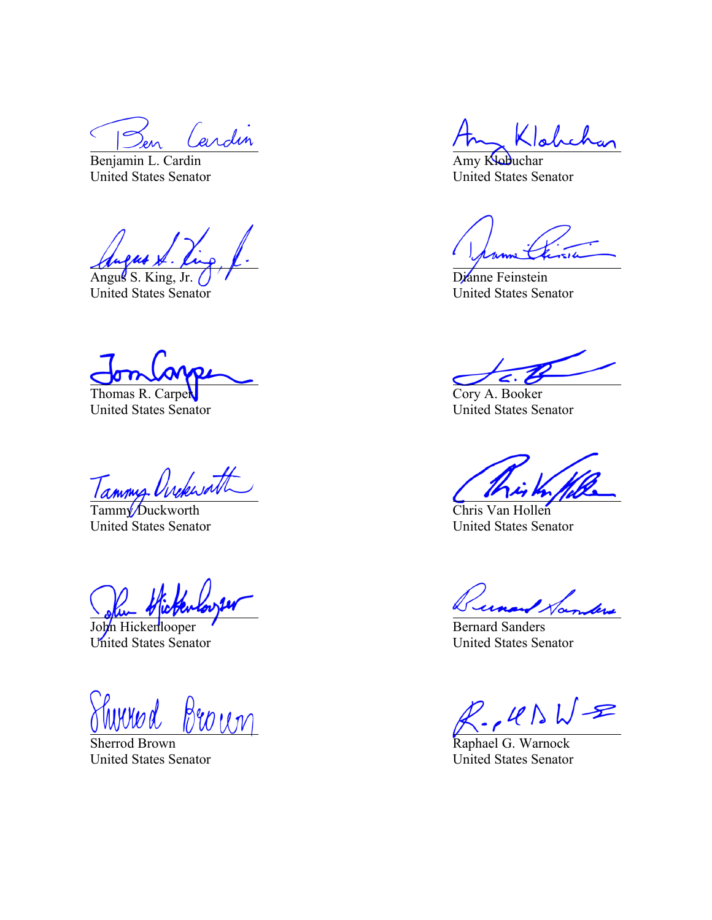erdin

Benjamin L. Cardin United States Senator

Angus S. King, Jr.

United States Senator

Thomas R. Carper United States Senator

Tammy Orckworth

United States Senator

John Hickenlooper United States Senator

Broun

Sherrod Brown United States Senator

ءا

Amy Klobuchar United States Senator

Dianne Feinstein United States Senator

Cory A. Booker United States Senator

Chris Van Hollen United States Senator

Bernard Sanders United States Senator

 $R.145WR$ 

Raphael G. Warnock United States Senator